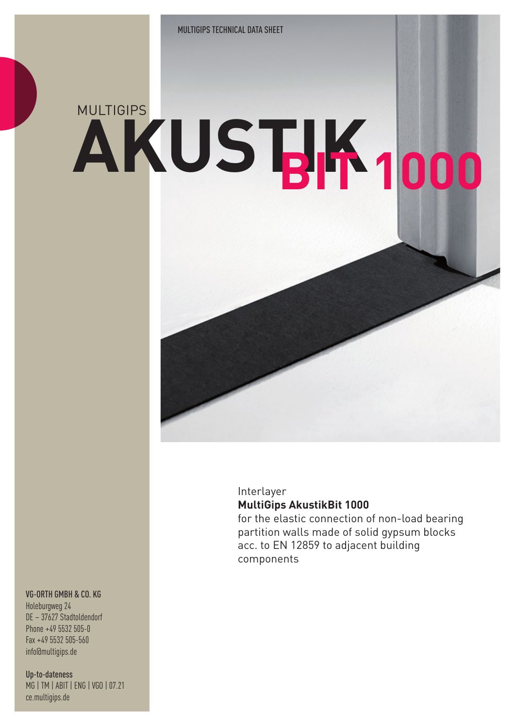# **AKUSTIK** MULTIGIPS **BIT 1000**

### Interlayer **MultiGips AkustikBit 1000**

for the elastic connection of non-load bearing partition walls made of solid gypsum blocks acc. to EN 12859 to adjacent building components

#### VG-ORTH GMBH & CO. KG

Holeburgweg 24 DE – 37627 Stadtoldendorf Phone +49 5532 505-0 Fax +49 5532 505-560 info@multigips.de

Up-to-dateness MG | TM | ABIT | ENG | VGO | 07.21 ce.multigips.de